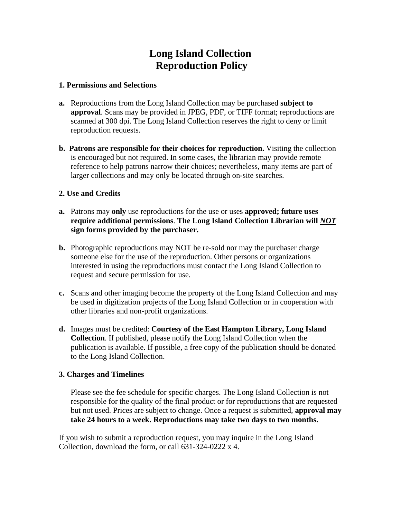## **Long Island Collection Reproduction Policy**

#### **1. Permissions and Selections**

- **a.** Reproductions from the Long Island Collection may be purchased **subject to approval**. Scans may be provided in JPEG, PDF, or TIFF format; reproductions are scanned at 300 dpi. The Long Island Collection reserves the right to deny or limit reproduction requests.
- **b. Patrons are responsible for their choices for reproduction.** Visiting the collection is encouraged but not required. In some cases, the librarian may provide remote reference to help patrons narrow their choices; nevertheless, many items are part of larger collections and may only be located through on-site searches.

### **2. Use and Credits**

- **a.** Patrons may **only** use reproductions for the use or uses **approved; future uses require additional permissions**. **The Long Island Collection Librarian will** *NOT* **sign forms provided by the purchaser.**
- **b.** Photographic reproductions may NOT be re-sold nor may the purchaser charge someone else for the use of the reproduction. Other persons or organizations interested in using the reproductions must contact the Long Island Collection to request and secure permission for use.
- **c.** Scans and other imaging become the property of the Long Island Collection and may be used in digitization projects of the Long Island Collection or in cooperation with other libraries and non-profit organizations.
- **d.** Images must be credited: **Courtesy of the East Hampton Library, Long Island Collection**. If published, please notify the Long Island Collection when the publication is available. If possible, a free copy of the publication should be donated to the Long Island Collection.

#### **3. Charges and Timelines**

Please see the fee schedule for specific charges. The Long Island Collection is not responsible for the quality of the final product or for reproductions that are requested but not used. Prices are subject to change. Once a request is submitted, **approval may take 24 hours to a week. Reproductions may take two days to two months.** 

If you wish to submit a reproduction request, you may inquire in the Long Island Collection, download the form, or call 631-324-0222 x 4.